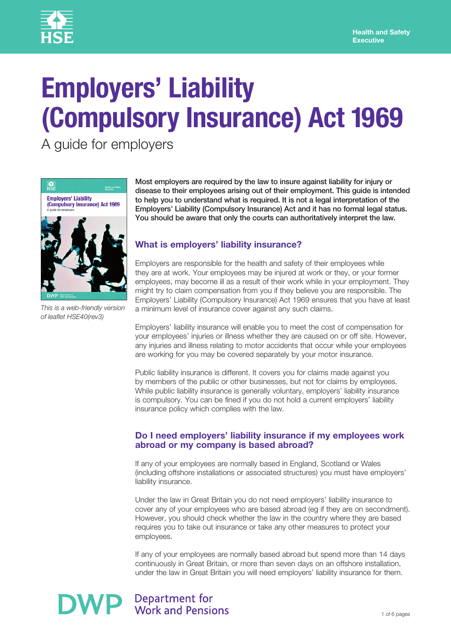

# **Employers' Liability (Compulsory Insurance) Act 1969**

A guide for employers



*This is a web-friendly version of leaflet HSE40(rev3)* 

Most employers are required by the law to insure against liability for injury or disease to their employees arising out of their employment. This guide is intended to help you to understand what is required. It is not a legal interpretation of the Employers' Liability (Compulsory Insurance) Act and it has no formal legal status. You should be aware that only the courts can authoritatively interpret the law.

# **What is employers' liability insurance?**

Employers are responsible for the health and safety of their employees while they are at work. Your employees may be injured at work or they, or your former employees, may become ill as a result of their work while in your employment. They might try to claim compensation from you if they believe you are responsible. The Employers' Liability (Compulsory Insurance) Act 1969 ensures that you have at least a minimum level of insurance cover against any such claims.

Employers' liability insurance will enable you to meet the cost of compensation for your employees' injuries or illness whether they are caused on or off site. However, any injuries and illness relating to motor accidents that occur while your employees are working for you may be covered separately by your motor insurance.

Public liability insurance is different. It covers you for claims made against you by members of the public or other businesses, but not for claims by employees. While public liability insurance is generally voluntary, employers' liability insurance is compulsory. You can be fined if you do not hold a current employers' liability insurance policy which complies with the law.

#### **Do I need employers' liability insurance if my employees work abroad or my company is based abroad?**

If any of your employees are normally based in England, Scotland or Wales (including offshore installations or associated structures) you must have employers' liability insurance.

Under the law in Great Britain you do not need employers' liability insurance to cover any of your employees who are based abroad (eg if they are on secondment). However, you should check whether the law in the country where they are based requires you to take out insurance or take any other measures to protect your employees.

If any of your employees are normally based abroad but spend more than 14 days continuously in Great Britain, or more than seven days on an offshore installation, under the law in Great Britain you will need employers' liability insurance for them.

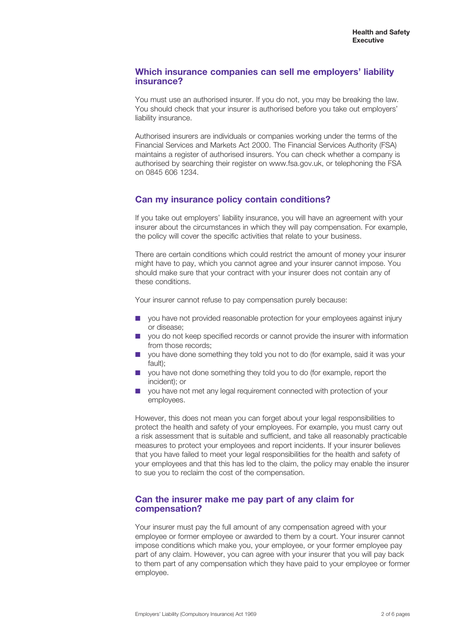#### **Which insurance companies can sell me employers' liability insurance?**

You must use an authorised insurer. If you do not, you may be breaking the law. You should check that your insurer is authorised before you take out employers' liability insurance.

Authorised insurers are individuals or companies working under the terms of the Financial Services and Markets Act 2000. The Financial Services Authority (FSA) maintains a register of authorised insurers. You can check whether a company is authorised by searching their register on www.fsa.gov.uk, or telephoning the FSA on 0845 606 1234.

# **Can my insurance policy contain conditions?**

If you take out employers' liability insurance, you will have an agreement with your insurer about the circumstances in which they will pay compensation. For example, the policy will cover the specific activities that relate to your business.

There are certain conditions which could restrict the amount of money your insurer might have to pay, which you cannot agree and your insurer cannot impose. You should make sure that your contract with your insurer does not contain any of these conditions.

Your insurer cannot refuse to pay compensation purely because:

- you have not provided reasonable protection for your employees against injury or disease;
- you do not keep specified records or cannot provide the insurer with information from those records;
- you have done something they told you not to do (for example, said it was your fault);
- you have not done something they told you to do (for example, report the incident); or
- you have not met any legal requirement connected with protection of your employees.

However, this does not mean you can forget about your legal responsibilities to protect the health and safety of your employees. For example, you must carry out a risk assessment that is suitable and sufficient, and take all reasonably practicable measures to protect your employees and report incidents. If your insurer believes that you have failed to meet your legal responsibilities for the health and safety of your employees and that this has led to the claim, the policy may enable the insurer to sue you to reclaim the cost of the compensation.

#### **Can the insurer make me pay part of any claim for compensation?**

Your insurer must pay the full amount of any compensation agreed with your employee or former employee or awarded to them by a court. Your insurer cannot impose conditions which make you, your employee, or your former employee pay part of any claim. However, you can agree with your insurer that you will pay back to them part of any compensation which they have paid to your employee or former employee.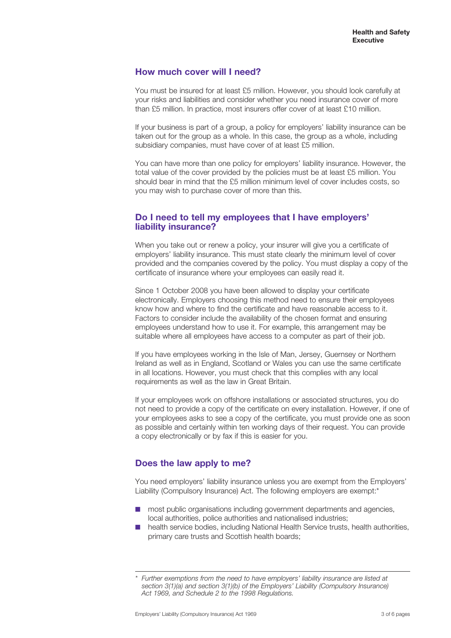# **How much cover will I need?**

You must be insured for at least £5 million. However, you should look carefully at your risks and liabilities and consider whether you need insurance cover of more than £5 million. In practice, most insurers offer cover of at least £10 million.

If your business is part of a group, a policy for employers' liability insurance can be taken out for the group as a whole. In this case, the group as a whole, including subsidiary companies, must have cover of at least £5 million.

You can have more than one policy for employers' liability insurance. However, the total value of the cover provided by the policies must be at least £5 million. You should bear in mind that the £5 million minimum level of cover includes costs, so you may wish to purchase cover of more than this.

## **Do I need to tell my employees that I have employers' liability insurance?**

When you take out or renew a policy, your insurer will give you a certificate of employers' liability insurance. This must state clearly the minimum level of cover provided and the companies covered by the policy. You must display a copy of the certificate of insurance where your employees can easily read it.

Since 1 October 2008 you have been allowed to display your certificate electronically. Employers choosing this method need to ensure their employees know how and where to find the certificate and have reasonable access to it. Factors to consider include the availability of the chosen format and ensuring employees understand how to use it. For example, this arrangement may be suitable where all employees have access to a computer as part of their job.

If you have employees working in the Isle of Man, Jersey, Guernsey or Northern Ireland as well as in England, Scotland or Wales you can use the same certificate in all locations. However, you must check that this complies with any local requirements as well as the law in Great Britain.

If your employees work on offshore installations or associated structures, you do not need to provide a copy of the certificate on every installation. However, if one of your employees asks to see a copy of the certificate, you must provide one as soon as possible and certainly within ten working days of their request. You can provide a copy electronically or by fax if this is easier for you.

# **Does the law apply to me?**

You need employers' liability insurance unless you are exempt from the Employers' Liability (Compulsory Insurance) Act. The following employers are exempt:\*

- most public organisations including government departments and agencies, local authorities, police authorities and nationalised industries;
- health service bodies, including National Health Service trusts, health authorities, primary care trusts and Scottish health boards;

Further exemptions from the need to have employers' liability insurance are listed at *section 3(1)(a) and section 3(1)(b) of the Employers' Liability (Compulsory Insurance) Act 1969, and Schedule 2 to the 1998 Regulations.*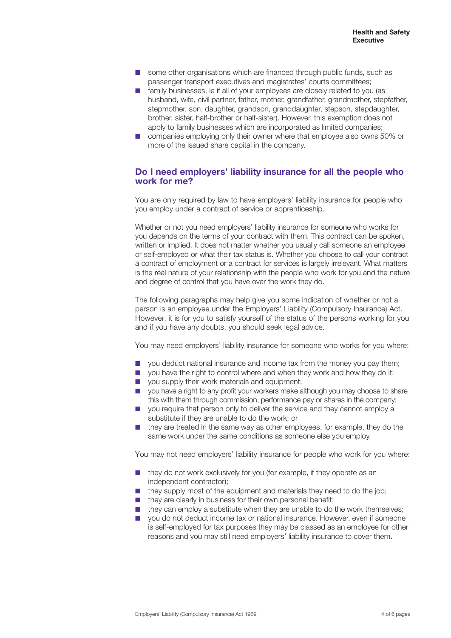- some other organisations which are financed through public funds, such as passenger transport executives and magistrates' courts committees;
- family businesses, ie if all of your employees are closely related to you (as husband, wife, civil partner, father, mother, grandfather, grandmother, stepfather, stepmother, son, daughter, grandson, granddaughter, stepson, stepdaughter, brother, sister, half-brother or half-sister). However, this exemption does not apply to family businesses which are incorporated as limited companies;
- companies employing only their owner where that employee also owns 50% or more of the issued share capital in the company.

#### **Do I need employers' liability insurance for all the people who work for me?**

You are only required by law to have employers' liability insurance for people who you employ under a contract of service or apprenticeship.

Whether or not you need employers' liability insurance for someone who works for you depends on the terms of your contract with them. This contract can be spoken, written or implied. It does not matter whether you usually call someone an employee or self-employed or what their tax status is. Whether you choose to call your contract a contract of employment or a contract for services is largely irrelevant. What matters is the real nature of your relationship with the people who work for you and the nature and degree of control that you have over the work they do.

The following paragraphs may help give you some indication of whether or not a person is an employee under the Employers' Liability (Compulsory Insurance) Act. However, it is for you to satisfy yourself of the status of the persons working for you and if you have any doubts, you should seek legal advice.

You may need employers' liability insurance for someone who works for you where:

- you deduct national insurance and income tax from the money you pay them;
- you have the right to control where and when they work and how they do it;
- you supply their work materials and equipment;
- you have a right to any profit your workers make although you may choose to share this with them through commission, performance pay or shares in the company;
- you require that person only to deliver the service and they cannot employ a substitute if they are unable to do the work; or
- they are treated in the same way as other employees, for example, they do the same work under the same conditions as someone else you employ.

You may not need employers' liability insurance for people who work for you where:

- they do not work exclusively for you (for example, if they operate as an independent contractor);
- they supply most of the equipment and materials they need to do the job;
- they are clearly in business for their own personal benefit;
- they can employ a substitute when they are unable to do the work themselves;
- you do not deduct income tax or national insurance. However, even if someone is self-employed for tax purposes they may be classed as an employee for other reasons and you may still need employers' liability insurance to cover them.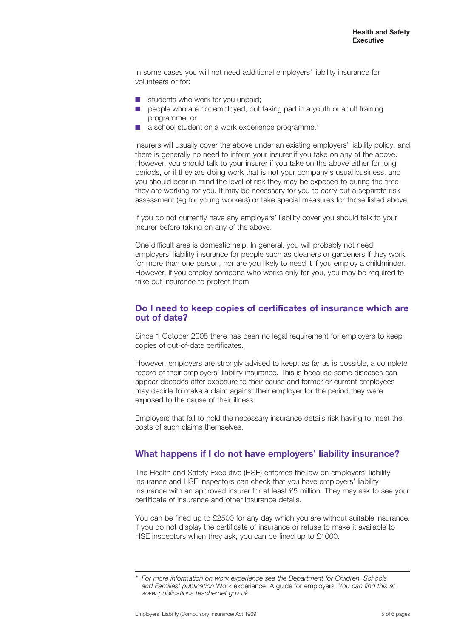In some cases you will not need additional employers' liability insurance for volunteers or for:

- students who work for you unpaid:
- people who are not employed, but taking part in a youth or adult training programme; or
- a school student on a work experience programme.\*

Insurers will usually cover the above under an existing employers' liability policy, and there is generally no need to inform your insurer if you take on any of the above. However, you should talk to your insurer if you take on the above either for long periods, or if they are doing work that is not your company's usual business, and you should bear in mind the level of risk they may be exposed to during the time they are working for you. It may be necessary for you to carry out a separate risk assessment (eg for young workers) or take special measures for those listed above.

If you do not currently have any employers' liability cover you should talk to your insurer before taking on any of the above.

One difficult area is domestic help. In general, you will probably not need employers' liability insurance for people such as cleaners or gardeners if they work for more than one person, nor are you likely to need it if you employ a childminder. However, if you employ someone who works only for you, you may be required to take out insurance to protect them.

#### **Do I need to keep copies of certificates of insurance which are out of date?**

Since 1 October 2008 there has been no legal requirement for employers to keep copies of out-of-date certificates.

However, employers are strongly advised to keep, as far as is possible, a complete record of their employers' liability insurance. This is because some diseases can appear decades after exposure to their cause and former or current employees may decide to make a claim against their employer for the period they were exposed to the cause of their illness.

Employers that fail to hold the necessary insurance details risk having to meet the costs of such claims themselves.

# **What happens if I do not have employers' liability insurance?**

The Health and Safety Executive (HSE) enforces the law on employers' liability insurance and HSE inspectors can check that you have employers' liability insurance with an approved insurer for at least £5 million. They may ask to see your certificate of insurance and other insurance details.

You can be fined up to £2500 for any day which you are without suitable insurance. If you do not display the certificate of insurance or refuse to make it available to HSE inspectors when they ask, you can be fined up to £1000.

For more information on work experience see the Department for Children, Schools *and Families' publication* Work experience: A guide for employers*. You can find this at www.publications.teachernet.gov.uk.*